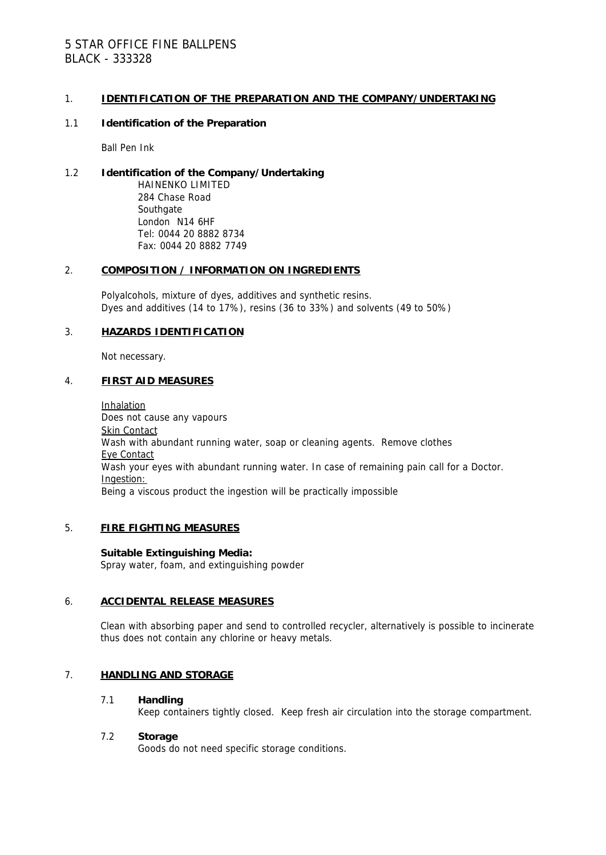# 5 STAR OFFICE FINE BALLPENS BLACK - 333328

### 1. **IDENTIFICATION OF THE PREPARATION AND THE COMPANY/UNDERTAKING**

### 1.1 **Identification of the Preparation**

Ball Pen Ink

#### 1.2 **Identification of the Company/Undertaking** HAINENKO LIMITED 284 Chase Road **Southgate** London N14 6HF Tel: 0044 20 8882 8734 Fax: 0044 20 8882 7749

### 2. **COMPOSITION / INFORMATION ON INGREDIENTS**

Polyalcohols, mixture of dyes, additives and synthetic resins. Dyes and additives (14 to 17%), resins (36 to 33%) and solvents (49 to 50%)

## 3. **HAZARDS IDENTIFICATION**

Not necessary.

### 4. **FIRST AID MEASURES**

Inhalation Does not cause any vapours Skin Contact Wash with abundant running water, soap or cleaning agents. Remove clothes Eye Contact Wash your eyes with abundant running water. In case of remaining pain call for a Doctor. Ingestion: Being a viscous product the ingestion will be practically impossible

### 5. **FIRE FIGHTING MEASURES**

**Suitable Extinguishing Media:** Spray water, foam, and extinguishing powder

### 6. **ACCIDENTAL RELEASE MEASURES**

Clean with absorbing paper and send to controlled recycler, alternatively is possible to incinerate thus does not contain any chlorine or heavy metals.

### 7. **HANDLING AND STORAGE**

### 7.1 **Handling**

Keep containers tightly closed. Keep fresh air circulation into the storage compartment.

### 7.2 **Storage**

Goods do not need specific storage conditions.